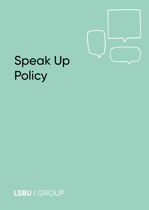

# Speak Up Policy

LSBU | GROUP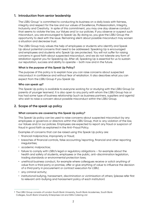# **1. Introduction from senior leadership**

The LSBU Group<sup>1</sup> is committed to conducting its business on a daily basis with fairness, integrity and respect for the law and our values of Excellence, Professionalism, Integrity, Inclusivity and Creativity. In spite of this commitment, you may one day observe conduct that seems to violate the law, our Values and/or our policies. If you observe or suspect such misconduct, you are encouraged to Speak Up. By doing so, you give the LSBU Group the opportunity to deal with the issue. Remaining silent about possible misconduct may worsen a situation and decrease trust.

The LSBU Group truly values the help of employees or students who identify and Speak Up about potential concerns that need to be addressed. Speaking Up is encouraged and employees and students who Speak Up are protected. You will not suffer for raising concerns in good faith about suspected misconduct, and we do not tolerate any form of retaliation against you for Speaking Up. After all, Speaking Up is essential for us to sustain our reputation, success and ability to operate – both now and in the future.

# **What is the purpose of this Speak Up Policy?**

The purpose of this policy is to explain how you can raise concerns about suspected misconduct in confidence and without fear of retaliation. It also describes what you can expect from the LSBU Group if you Speak Up.

# **Who can speak up?**

This Speak Up policy is available to everyone working for or studying with the LSBU Group (or parents of younger learners). It is also open to any party with whom the LSBU Group has or has had some type of business relationship (such as business partners, suppliers and agents) who wish to raise a concern about possible misconduct within the LSBU Group.

# **2. Scope of the speak up policy**

# **What concerns are covered by this Speak Up policy?**

This Speak Up policy can be used to raise concerns about suspected misconduct by any employees or governors or directors within the LSBU Group, that is: any violation of the law, our Values and/or our policies. Employees are expected to report any fraud or suspicion of fraud in good faith as explained in the Anti-Fraud Policy.

Examples of concerns that can be raised using this Speak Up policy are:

- financial malpractice, impropriety or fraud;
- breaches of financial controls, false accounting/reporting, financial and other reporting irregularities;
- academic malpractice;
- failure to comply with LSBU's legal or regulatory obligations for example about the health and safety of students, employees or the public, anti-discrimination legislation, trading standards or environmental protection laws;
- unethical business conduct, for example where colleagues receive or solicit anything of value from a third party or promise, offer or give anything of value to influence the decision of a third party in procurement or contract execution for LSBU;
- any criminal activity;
- institutional bullying, harassment, discrimination or victimisation of others; (please refer first to relevant anti-bullying and harassment policy of each institution)

<sup>1</sup> The LSBU Group consists of London South Bank University, South Bank Academies, South Bank Colleges, South Bank University Enterprises Ltd and SW4 Catering Ltd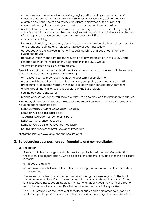- colleagues who are involved in the taking, buying, selling of drugs or other forms of substance abuse; failure to comply with LSBU's legal or regulatory obligations – for example about the health and safety of students, employees or the public, antidiscrimination legislation, trading standards or environmental protection laws;
- unethical business conduct, for example where colleagues receive or solicit anything of value from a third party or promise, offer or give anything of value to influence the decision of a third party in procurement or contract execution for LSBU;
- any criminal activity;
- institutional bullying, harassment, discrimination or victimisation of others; (please refer first to relevant anti-bullying and harassment policy of each institution)
- colleagues who are involved in the taking, buying, selling of drugs or other forms of substance abuse;
- behaviour which might damage the reputation of any organisation in the LSBU Group;
- serious breach of the Values of any organisation in the LSBU Group
- actions intended to hide any of the above.

Speak Up is not about complaints relating to your personal circumstances and please note that this policy does not apply to the following:

- any grievances you may have in relation to your terms of employment;
- matters which should be raised under grievance, complaint, disciplinary or other HR procedures, or to reopen matters which have already been considered under them;
- challenges of financial or business decisions of the LSBU Group;
- settling personal disputes; or
- making accusations which you know are false. Doing so may lead to disciplinary measures.

If in doubt, please refer to other policies designed to address concerns of staff or students including but not restricted to:

- LSBU University Student Complaints Procedure
- Lambeth College Talk Back Policy
- South Bank Academies Complaints Policy
- LSBU Staff Grievance Procedure
- Lambeth College Staff Grievance Procedure
- South Bank Academies Staff Grievance Procedure

All staff policies are available on your local intranet.

# **3. Safeguarding your position: confidentiality and non-retaliation**

#### **31. Protection**

Speaking Up is encouraged and this speak up policy is designed to offer protection to those identified in paragraph 2 who disclose such concerns, provided that the disclosure is made:

- (i) in good faith, and
- (ii) in the reasonable belief of the individual making the disclosure that it tends to show misconduct.

Please feel confident that you will not suffer for raising concerns in good faith about suspected misconduct. If you make an allegation in good faith, but it is not confirmed by subsequent investigation, no action will be taken against you. Any form of threat or retaliation will not be tolerated. Retaliation is treated as a disciplinary matter.

The LSBU Group takes the welfare of its staff seriously and is committed to supporting staff who Speak Up. We provide a confidential and free of charge Employee Assistance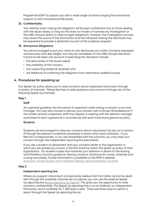Programme (EAP) to support you with a wide range of advice ranging from emotional support to work and personal life issues.

# **32. Confidentiality**

Your identity when making the allegation will be kept confidential only to those dealing with the issues raised, so long as this does not hinder or frustrate any investigation or the LSBU Group's ability to meet its legal obligations. However, the investigation process may reveal the source of the information and the individual making the disclosure may be requested to provide a statement as part of the evidence required.

# **33. Anonymous Allegations**

You are encouraged to put your name to any disclosures you make. Concerns expressed anonymously carry less weight, but may be considered at the LSBU Group's discretion. Factors to be taken into account in exercising this discretion include:

- the seriousness of the issues raised;
- the credibility of the concern:
- any supporting evidence received; and
- the likelihood of confirming the allegation from alternative credible sources.

# **4. Procedures for speaking up**

Our Speak Up policy allows you to raise concerns about suspected misconduct through a variety of channels. Please feel free to raise questions and concerns through any of the following Speak Up channels:

# **Step 1**

# **Staff**

As a general guideline, the first person to approach when raising a concern is your line manager. You may also choose to discuss your concern with a Group HR professional. If the matter remains unresolved, staff may request a meeting with the relevant manager authorised to hear a grievance in accordance with each institution's grievance policy.

#### **Students**

Students are encouraged to raise any concerns about misconduct (as set out in section 2) through the relevant complaints procedure in place within each institution. If you feel this is inappropriate, or you are dissatisfied with the outcome, you may raise your concern through the independent reporting line (see below).

If you are a student on placement and your concerns relate to the organisation in which you are placed you should, in the first instance, follow the speak up policy of that organisation. For student nurses and midwives your attention is drawn to the Nursing and Midwifery Council's guidance: *Raising concerns: Guidance for nurses, midwives and nursing associates*. Further information is available on the NMC's website: [www.nmc-uk.org/Nurses-and-midwives/Raising-and-escalating-concerns](http://www.nmc-uk.org/Nurses-and-midwives/Raising-and-escalating-concerns/)

#### **Step 2**

#### **Independent reporting line**

Where you suspect misconduct and genuinely believe that the matter cannot be dealt with through the available channels set out above, you can use the external Speak Up reporting line [\(www.safecall.co.uk/report](http://www.safecall.co.uk/report)). This gives you the opportunity to raise concerns confidentially. The Speak Up reporting line is run by Safecall, an independent third party, and is available 24/7, 365 days a year. There are three ways to submit a report through the Speak Up reporting line by: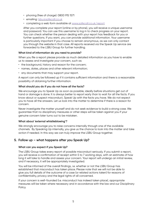- phoning (free of charge): 0800 915 1571
- emailing: [lsbu@safecall.co.uk](mailto:lsbu%40safecall.co.uk?subject=)
- completing a web form available at [www.safecall.co.uk/report](http://www.safecall.co.uk/report)

After you complete your report (online or by phone), you will receive a unique username and password. You can use this username to log in to check progress on your report. You can check whether the person dealing with your report has feedback for you or further questions. If you want, you can provide additional information. Your username is particularly important if you choose to remain anonymous, as we can only contact you through the website in that case. All reports received via the Speak Up service are forwarded to the LSBU Group for further handling.

# **What kind of information do you need to provide?**

When you file a report please provide as much detailed information as you have to enable us to assess and investigate your concern, such as:

- the background, history and reason for the concern;
- names, dates, places and other relevant information;
- any documents that may support your report.

A report can only be followed up if it contains sufficient information and there is a reasonable possibility of obtaining further information.

# **What should you do if you do not have all the facts?**

We encourage you to Speak Up as soon as possible, ideally before situations get out of hand or damage is done. It is always better to report early than to wait for all the facts. If you know about or suspect misconduct, Speak Up with the facts you have. We do not expect you to have all the answers. Let us look into the matter to determine if there is a reason for concern.

Never investigate the matter yourself and do not seek evidence to build a strong case. We guarantee that no disciplinary measures or other steps will be taken against you if your genuine concern later turns out to be mistaken.

#### **What about 'external whistleblowing'?**

We strongly encourage you to raise concerns internally through one of the available channels. By Speaking Up internally, you give us the chance to look into the matter and take action if needed. In this way we can truly improve the LSBU Group together.

# **5. Follow up – what happens after you Speak Up?**

# **What can you expect if you Speak Up?**

The LSBU Group takes every report of possible misconduct seriously. If you submit a report, you will receive a confirmation of receipt within 5 to 7 working days, with an estimate of how long it will take to handle and assess your concern. Your report will undergo an initial review, and if necessary, it will be appropriately investigated.

You will be informed of the overall findings, i.e. whether or not the LSBU Group has established that misconduct has taken place. Please note that we will not be able to give you full details of the outcome of a case (or related actions taken) for reasons of confidentiality, privacy and the legal rights of all concerned.

If your concern is well-founded (i.e. misconduct has indeed taken place), appropriate measures will be taken where necessary and in accordance with the law and our Disciplinary Policy.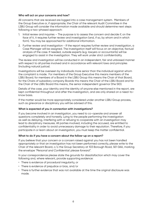#### **Who will act on your concerns and how?**

All concerns that are received are logged into a case management system. Members of the Group Executive or, if appropriate, the Chair of the relevant Audit Committee in the LSBU Group will consider the information made available and should determine next steps following a two-phased approach:

- 1. Initial review and inquiries The purpose is to assess the concern and decide if, on the face of it, it requires further review and investigation (and, if so, by whom and in which form). You may be approached for additional information.
- 2. Further review and investigation If the report requires further review and investigation, a Case Manager will be assigned. The investigation itself will focus on an objective, factual analysis of the case. If needed, outside experts (e.g. lawyers or accountants) will be engaged to assist in the investigation. They will work under strict confidentiality.

The review and investigation will be conducted in an independent, fair and unbiased manner with respect to all parties involved and in accordance with relevant laws and principles (including natural justice).

Investigations will be overseen by individuals more senior than the individual against whom the complaint is made. For members of the Group Executive this means members of the LSBU Board; for members of a Board in the LSBU Group this means the Chair of that Board, for the Chairs of subsidiary company Boards this means the Chair of the LSBU Board and for the Chair of the LSBU Board this means, the senior independent governor (the SID).

Details of the case, your identity and the identity of anyone else mentioned in the report, are kept confidential throughout and after the investigation, and are only shared on a need-toknow basis.

If the matter would be more appropriately considered under another LSBU Group process, such as grievance or disciplinary you will be advised of this.

#### **What is expected of you in connection with investigations?**

If you become involved in an investigation, you need to co-operate and answer all questions completely and honestly. Lying to the people performing the investigation as well as delaying, interfering with or refusing to cooperate with an investigation may lead to disciplinary measures. All parties involved, including the accused, are entitled to confidentiality in order to avoid unnecessary damage to their reputation. Therefore, if you participate in or learn about an investigation, you must keep the matter confidential.

#### **What to do if you have a concern about the follow-up on a report?**

If you believe that your concern or a concern raised against you has not been handled appropriately or that an investigation has not been performed correctly, please write to the Chair of the relevant Board, c/o the Group Secretary at 103 Borough Road, SE1 0AA, marking the envelope *"Personal and Confidential: please forward".*

In your correspondence please state the grounds for dissatisfaction which may cover the following and, where relevant, provide supporting evidence:

- There is evidence of procedural irregularity, or
- There is evidence of prejudice or bias, and/or
- There is further evidence that was not available at the time the original disclosure was made.